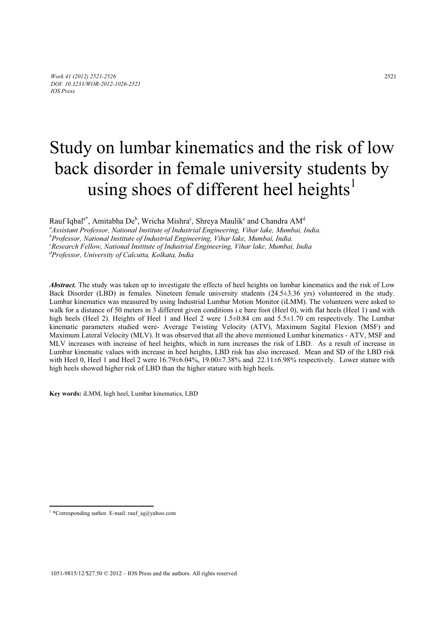# Study on lumbar kinematics and the risk of low back disorder in female university students by using shoes of different heel heights<sup>1</sup>

Rauf Iqbal $a^*$ , Amitabha De $^b$ , Wricha Mishra $^c$ , Shreya Maulik $^c$  and Chandra AM $^d$ 

*a Assistant Professor, National Institute of Industrial Engineering, Vihar lake, Mumbai, India.* 

*b Professor, National Institute of Industrial Engineering, Vihar lake, Mumbai, India.* 

*c Research Fellow, National Institute of Industrial Engineering, Vihar lake, Mumbai, India* 

*d Professor, University of Calcutta, Kolkata, India* 

*Abstract.* The study was taken up to investigate the effects of heel heights on lumbar kinematics and the risk of Low Back Disorder (LBD) in females. Nineteen female university students (24.5±3.36 yrs) volunteered in the study. Lumbar kinematics was measured by using Industrial Lumbar Motion Monitor (iLMM). The volunteers were asked to walk for a distance of 50 meters in 3 different given conditions i.e bare foot (Heel 0), with flat heels (Heel 1) and with high heels (Heel 2). Heights of Heel 1 and Heel 2 were 1.5±0.84 cm and 5.5±1.70 cm respectively. The Lumbar kinematic parameters studied were- Average Twisting Velocity (ATV), Maximum Sagital Flexion (MSF) and Maximum Lateral Velocity (MLV). It was observed that all the above mentioned Lumbar kinematics - ATV, MSF and MLV increases with increase of heel heights, which in turn increases the risk of LBD. As a result of increase in Lumbar kinematic values with increase in heel heights, LBD risk has also increased. Mean and SD of the LBD risk with Heel 0, Heel 1 and Heel 2 were  $16.79\pm6.04\%$ ,  $19.00\pm7.38\%$  and  $22.11\pm6.98\%$  respectively. Lower stature with high heels showed higher risk of LBD than the higher stature with high heels.

**Key words:** iLMM, high heel, Lumbar kinematics, LBD

 $\overline{a}$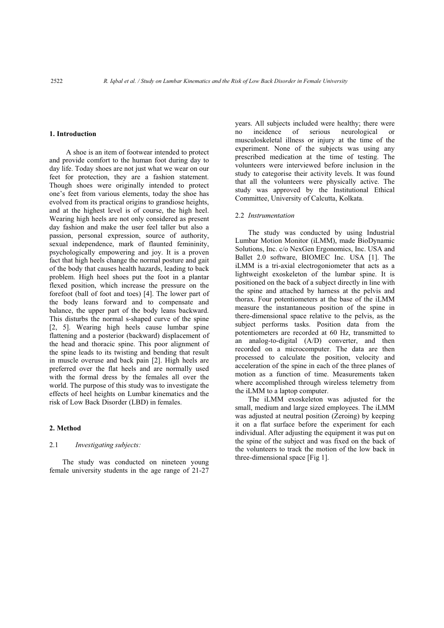### **1. Introduction**

A shoe is an item of footwear intended to protect and provide comfort to the human foot during day to day life. Today shoes are not just what we wear on our feet for protection, they are a fashion statement. Though shoes were originally intended to protect one's feet from various elements, today the shoe has evolved from its practical origins to grandiose heights, and at the highest level is of course, the high heel. Wearing high heels are not only considered as present day fashion and make the user feel taller but also a passion, personal expression, source of authority, sexual independence, mark of flaunted femininity, psychologically empowering and joy. It is a proven fact that high heels change the normal posture and gait of the body that causes health hazards, leading to back problem. High heel shoes put the foot in a plantar flexed position, which increase the pressure on the forefoot (ball of foot and toes) [4]. The lower part of the body leans forward and to compensate and balance, the upper part of the body leans backward. This disturbs the normal s-shaped curve of the spine [2, 5]. Wearing high heels cause lumbar spine flattening and a posterior (backward) displacement of the head and thoracic spine. This poor alignment of the spine leads to its twisting and bending that result in muscle overuse and back pain [2]. High heels are preferred over the flat heels and are normally used with the formal dress by the females all over the world. The purpose of this study was to investigate the effects of heel heights on Lumbar kinematics and the risk of Low Back Disorder (LBD) in females.

#### **2. Method**

#### 2.1 *Investigating subjects:*

The study was conducted on nineteen young female university students in the age range of 21-27 years. All subjects included were healthy; there were no incidence of serious neurological or musculoskeletal illness or injury at the time of the experiment. None of the subjects was using any prescribed medication at the time of testing. The volunteers were interviewed before inclusion in the study to categorise their activity levels. It was found that all the volunteers were physically active. The study was approved by the Institutional Ethical Committee, University of Calcutta, Kolkata.

### 2.2 *Instrumentation*

The study was conducted by using Industrial Lumbar Motion Monitor (iLMM), made BioDynamic Solutions, Inc. c/o NexGen Ergonomics, Inc. USA and Ballet 2.0 software, BIOMEC Inc. USA [1]. The iLMM is a tri-axial electrogoniometer that acts as a lightweight exoskeleton of the lumbar spine. It is positioned on the back of a subject directly in line with the spine and attached by harness at the pelvis and thorax. Four potentiometers at the base of the iLMM measure the instantaneous position of the spine in there-dimensional space relative to the pelvis, as the subject performs tasks. Position data from the potentiometers are recorded at 60 Hz, transmitted to an analog-to-digital (A/D) converter, and then recorded on a microcomputer. The data are then processed to calculate the position, velocity and acceleration of the spine in each of the three planes of motion as a function of time. Measurements taken where accomplished through wireless telemetry from the iLMM to a laptop computer.

The iLMM exoskeleton was adjusted for the small, medium and large sized employees. The iLMM was adjusted at neutral position (Zeroing) by keeping it on a flat surface before the experiment for each individual. After adjusting the equipment it was put on the spine of the subject and was fixed on the back of the volunteers to track the motion of the low back in three-dimensional space [Fig 1].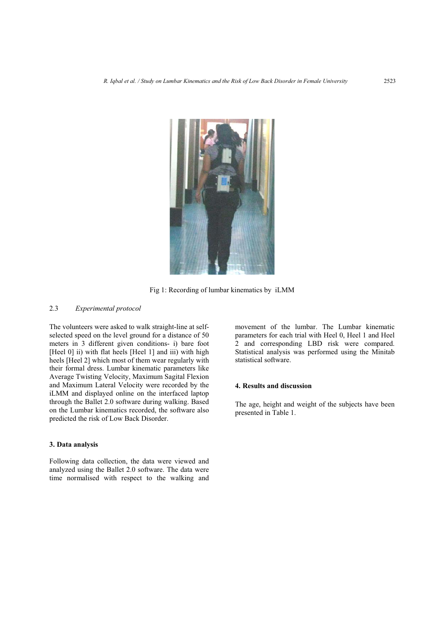

Fig 1: Recording of lumbar kinematics by iLMM

# 2.3 *Experimental protocol*

The volunteers were asked to walk straight-line at selfselected speed on the level ground for a distance of 50 meters in 3 different given conditions- i) bare foot [Heel 0] ii) with flat heels [Heel 1] and iii) with high heels [Heel 2] which most of them wear regularly with their formal dress. Lumbar kinematic parameters like Average Twisting Velocity, Maximum Sagital Flexion and Maximum Lateral Velocity were recorded by the iLMM and displayed online on the interfaced laptop through the Ballet 2.0 software during walking. Based on the Lumbar kinematics recorded, the software also predicted the risk of Low Back Disorder.

## **3. Data analysis**

Following data collection, the data were viewed and analyzed using the Ballet 2.0 software. The data were time normalised with respect to the walking and movement of the lumbar. The Lumbar kinematic parameters for each trial with Heel 0, Heel 1 and Heel 2 and corresponding LBD risk were compared. Statistical analysis was performed using the Minitab statistical software.

# **4. Results and discussion**

The age, height and weight of the subjects have been presented in Table 1.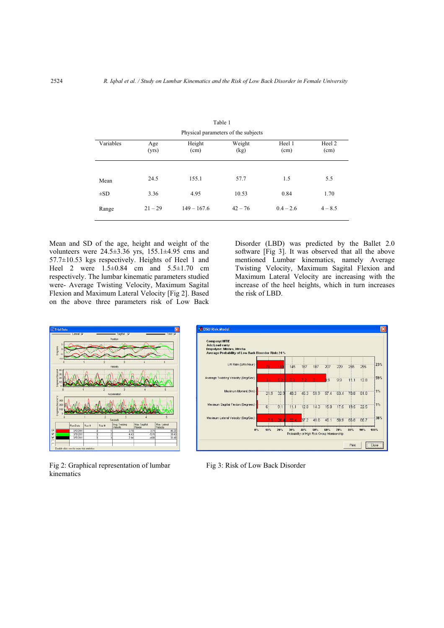| Physical parameters of the subjects |              |                |                |                |                |  |  |  |  |
|-------------------------------------|--------------|----------------|----------------|----------------|----------------|--|--|--|--|
| Variables                           | Age<br>(yrs) | Height<br>(cm) | Weight<br>(kg) | Heel 1<br>(cm) | Heel 2<br>(cm) |  |  |  |  |
|                                     |              |                |                |                |                |  |  |  |  |
| Mean                                | 24.5         | 155.1          | 57.7           | 1.5            | 5.5            |  |  |  |  |
| $\pm SD$                            | 3.36         | 4.95           | 10.53          | 0.84           | 1.70           |  |  |  |  |
| Range                               | $21 - 29$    | $149 - 167.6$  | $42 - 76$      | $0.4 - 2.6$    | $4 - 8.5$      |  |  |  |  |

Table 1

Mean and SD of the age, height and weight of the volunteers were 24.5±3.36 yrs, 155.1±4.95 cms and 57.7±10.53 kgs respectively. Heights of Heel 1 and Heel 2 were  $1.5 \pm 0.84$  cm and  $5.5 \pm 1.70$  cm respectively. The lumbar kinematic parameters studied were- Average Twisting Velocity, Maximum Sagital Flexion and Maximum Lateral Velocity [Fig 2]. Based on the above three parameters risk of Low Back Disorder (LBD) was predicted by the Ballet 2.0 software [Fig 3]. It was observed that all the above mentioned Lumbar kinematics, namely Average Twisting Velocity, Maximum Sagital Flexion and Maximum Lateral Velocity are increasing with the increase of the heel heights, which in turn increases the risk of LBD.



Fig 2: Graphical representation of lumbar Fig 3: Risk of Low Back Disorder kinematics

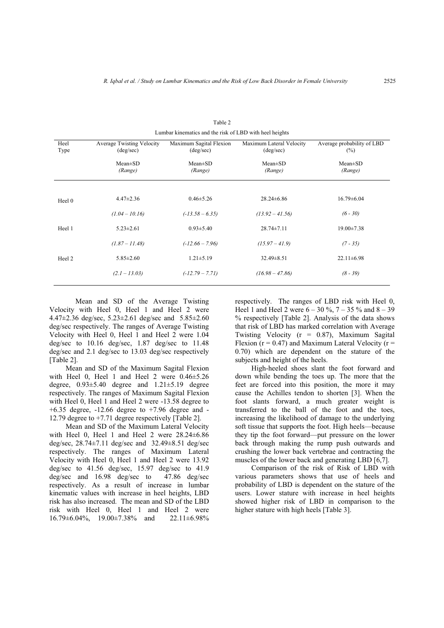|              | Lumbal Kinematics and the risk of LDD with neer heights |                                               |                                                |                                      |  |  |  |  |
|--------------|---------------------------------------------------------|-----------------------------------------------|------------------------------------------------|--------------------------------------|--|--|--|--|
| Heel<br>Type | <b>Average Twisting Velocity</b><br>$(\text{deg/sec})$  | Maximum Sagital Flexion<br>$(\text{deg/sec})$ | Maximum Lateral Velocity<br>$(\text{deg/sec})$ | Average probability of LBD<br>$(\%)$ |  |  |  |  |
|              | $Mean \pm SD$<br>(Range)                                | $Mean \pm SD$<br>(Range)                      | $Mean \pm SD$<br>(Range)                       | $Mean \pm SD$<br>(Range)             |  |  |  |  |
| Heel 0       | $4.47 \pm 2.36$                                         | $0.46 \pm 5.26$                               | $28.24 \pm 6.86$                               | $16.79 \pm 6.04$                     |  |  |  |  |
|              | $(1.04 - 10.16)$                                        | $(-13.58 - 6.35)$                             | $(13.92 - 41.56)$                              | $(6 - 30)$                           |  |  |  |  |
| Heel 1       | $5.23 \pm 2.61$                                         | $0.93 \pm 5.40$                               | $28.74 \pm 7.11$                               | $19.00 \pm 7.38$                     |  |  |  |  |
|              | $(1.87 - 11.48)$                                        | $(-12.66 - 7.96)$                             | $(15.97 - 41.9)$                               | $(7 - 35)$                           |  |  |  |  |
| Heel 2       | $5.85 \pm 2.60$                                         | $1.21 \pm 5.19$                               | $32.49 \pm 8.51$                               | $22.11 \pm 6.98$                     |  |  |  |  |
|              | $(2.1 - 13.03)$                                         | $(-12.79 - 7.71)$                             | $(16.98 - 47.86)$                              | $(8 - 39)$                           |  |  |  |  |
|              |                                                         |                                               |                                                |                                      |  |  |  |  |

Table 2  $\frac{1}{2}$  has kinematics and the risk of LBD with heel heights

Mean and SD of the Average Twisting Velocity with Heel 0, Heel 1 and Heel 2 were 4.47±2.36 deg/sec, 5.23±2.61 deg/sec and 5.85±2.60 deg/sec respectively. The ranges of Average Twisting Velocity with Heel 0, Heel 1 and Heel 2 were 1.04 deg/sec to 10.16 deg/sec, 1.87 deg/sec to 11.48 deg/sec and 2.1 deg/sec to 13.03 deg/sec respectively [Table 2].

Mean and SD of the Maximum Sagital Flexion with Heel 0, Heel 1 and Heel 2 were 0.46±5.26 degree, 0.93±5.40 degree and 1.21±5.19 degree respectively. The ranges of Maximum Sagital Flexion with Heel 0, Heel 1 and Heel 2 were -13.58 degree to  $+6.35$  degree,  $-12.66$  degree to  $+7.96$  degree and  $-$ 12.79 degree to +7.71 degree respectively [Table 2].

Mean and SD of the Maximum Lateral Velocity with Heel 0, Heel 1 and Heel 2 were 28.24±6.86 deg/sec, 28.74±7.11 deg/sec and 32.49±8.51 deg/sec respectively. The ranges of Maximum Lateral Velocity with Heel 0, Heel 1 and Heel 2 were 13.92 deg/sec to 41.56 deg/sec, 15.97 deg/sec to 41.9 deg/sec and 16.98 deg/sec to 47.86 deg/sec respectively. As a result of increase in lumbar kinematic values with increase in heel heights, LBD risk has also increased. The mean and SD of the LBD risk with Heel 0, Heel 1 and Heel 2 were 16.79±6.04%, 19.00±7.38% and 22.11±6.98% respectively. The ranges of LBD risk with Heel 0, Heel 1 and Heel 2 were  $6 - 30 \%$ ,  $7 - 35 \%$  and  $8 - 39$ % respectively [Table 2]. Analysis of the data shows that risk of LBD has marked correlation with Average Twisting Velocity  $(r = 0.87)$ , Maximum Sagital Flexion ( $r = 0.47$ ) and Maximum Lateral Velocity ( $r =$ 0.70) which are dependent on the stature of the subjects and height of the heels.

High-heeled shoes slant the foot forward and down while bending the toes up. The more that the feet are forced into this position, the more it may cause the Achilles tendon to shorten [3]. When the foot slants forward, a much greater weight is transferred to the ball of the foot and the toes, increasing the likelihood of damage to the underlying soft tissue that supports the foot. High heels—because they tip the foot forward—put pressure on the lower back through making the rump push outwards and crushing the lower back vertebrae and contracting the muscles of the lower back and generating LBD [6,7].

Comparison of the risk of Risk of LBD with various parameters shows that use of heels and probability of LBD is dependent on the stature of the users. Lower stature with increase in heel heights showed higher risk of LBD in comparison to the higher stature with high heels [Table 3].